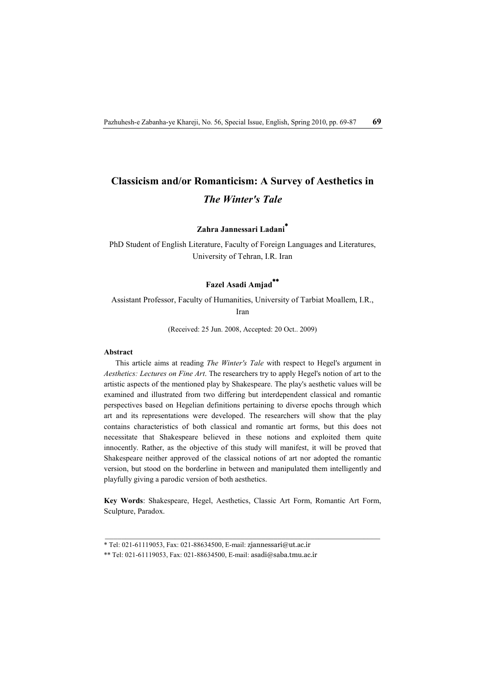# **Classicism and/or Romanticism: A Survey of Aesthetics in**  *The Winter's Tale*

# **Zahra Jannessari Ladani\***

PhD Student of English Literature, Faculty of Foreign Languages and Literatures, University of Tehran, I.R. Iran

# **Fazel Asadi Amjad\*\***

Assistant Professor, Faculty of Humanities, University of Tarbiat Moallem, I.R.,

Iran

(Received: 25 Jun. 2008, Accepted: 20 Oct.. 2009)

### **Abstract**

This article aims at reading *The Winter's Tale* with respect to Hegel's argument in *Aesthetics: Lectures on Fine Art*. The researchers try to apply Hegel's notion of art to the artistic aspects of the mentioned play by Shakespeare. The play's aesthetic values will be examined and illustrated from two differing but interdependent classical and romantic perspectives based on Hegelian definitions pertaining to diverse epochs through which art and its representations were developed. The researchers will show that the play contains characteristics of both classical and romantic art forms, but this does not necessitate that Shakespeare believed in these notions and exploited them quite innocently. Rather, as the objective of this study will manifest, it will be proved that Shakespeare neither approved of the classical notions of art nor adopted the romantic version, but stood on the borderline in between and manipulated them intelligently and playfully giving a parodic version of both aesthetics.

**Key Words**: Shakespeare, Hegel, Aesthetics, Classic Art Form, Romantic Art Form, Sculpture, Paradox.

<sup>\*</sup> Tel: 021-61119053, Fax: 021-88634500, E-mail: zjannessari@ut.ac.ir

<sup>\*\*</sup> Tel: 021-61119053, Fax: 021-88634500, E-mail: asadi@saba.tmu.ac.ir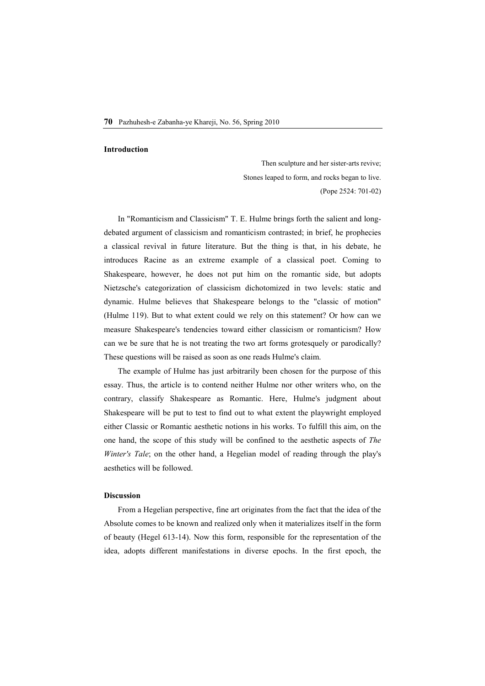#### **Introduction**

Then sculpture and her sister-arts revive; Stones leaped to form, and rocks began to live. (Pope 2524: 701-02)

In "Romanticism and Classicism" T. E. Hulme brings forth the salient and longdebated argument of classicism and romanticism contrasted; in brief, he prophecies a classical revival in future literature. But the thing is that, in his debate, he introduces Racine as an extreme example of a classical poet. Coming to Shakespeare, however, he does not put him on the romantic side, but adopts Nietzsche's categorization of classicism dichotomized in two levels: static and dynamic. Hulme believes that Shakespeare belongs to the "classic of motion" (Hulme 119). But to what extent could we rely on this statement? Or how can we measure Shakespeare's tendencies toward either classicism or romanticism? How can we be sure that he is not treating the two art forms grotesquely or parodically? These questions will be raised as soon as one reads Hulme's claim.

The example of Hulme has just arbitrarily been chosen for the purpose of this essay. Thus, the article is to contend neither Hulme nor other writers who, on the contrary, classify Shakespeare as Romantic. Here, Hulme's judgment about Shakespeare will be put to test to find out to what extent the playwright employed either Classic or Romantic aesthetic notions in his works. To fulfill this aim, on the one hand, the scope of this study will be confined to the aesthetic aspects of *The Winter's Tale*; on the other hand, a Hegelian model of reading through the play's aesthetics will be followed.

## **Discussion**

From a Hegelian perspective, fine art originates from the fact that the idea of the Absolute comes to be known and realized only when it materializes itself in the form of beauty (Hegel 613-14). Now this form, responsible for the representation of the idea, adopts different manifestations in diverse epochs. In the first epoch, the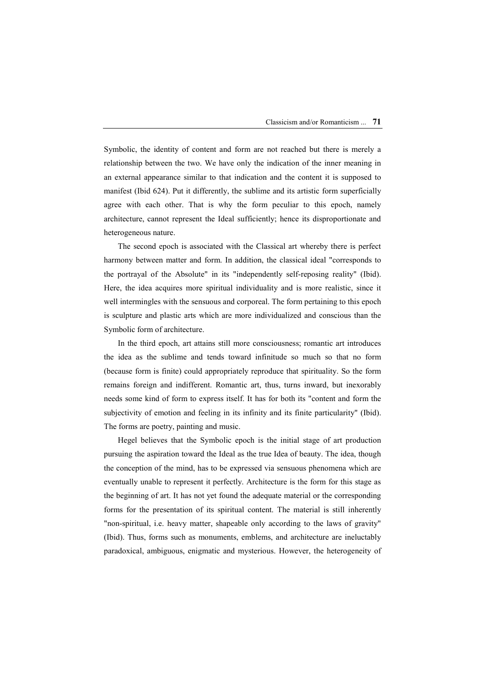Symbolic, the identity of content and form are not reached but there is merely a relationship between the two. We have only the indication of the inner meaning in an external appearance similar to that indication and the content it is supposed to manifest (Ibid 624). Put it differently, the sublime and its artistic form superficially agree with each other. That is why the form peculiar to this epoch, namely architecture, cannot represent the Ideal sufficiently; hence its disproportionate and heterogeneous nature.

The second epoch is associated with the Classical art whereby there is perfect harmony between matter and form. In addition, the classical ideal "corresponds to the portrayal of the Absolute" in its "independently self-reposing reality" (Ibid). Here, the idea acquires more spiritual individuality and is more realistic, since it well intermingles with the sensuous and corporeal. The form pertaining to this epoch is sculpture and plastic arts which are more individualized and conscious than the Symbolic form of architecture.

In the third epoch, art attains still more consciousness; romantic art introduces the idea as the sublime and tends toward infinitude so much so that no form (because form is finite) could appropriately reproduce that spirituality. So the form remains foreign and indifferent. Romantic art, thus, turns inward, but inexorably needs some kind of form to express itself. It has for both its "content and form the subjectivity of emotion and feeling in its infinity and its finite particularity" (Ibid). The forms are poetry, painting and music.

Hegel believes that the Symbolic epoch is the initial stage of art production pursuing the aspiration toward the Ideal as the true Idea of beauty. The idea, though the conception of the mind, has to be expressed via sensuous phenomena which are eventually unable to represent it perfectly. Architecture is the form for this stage as the beginning of art. It has not yet found the adequate material or the corresponding forms for the presentation of its spiritual content. The material is still inherently "non-spiritual, i.e. heavy matter, shapeable only according to the laws of gravity" (Ibid). Thus, forms such as monuments, emblems, and architecture are ineluctably paradoxical, ambiguous, enigmatic and mysterious. However, the heterogeneity of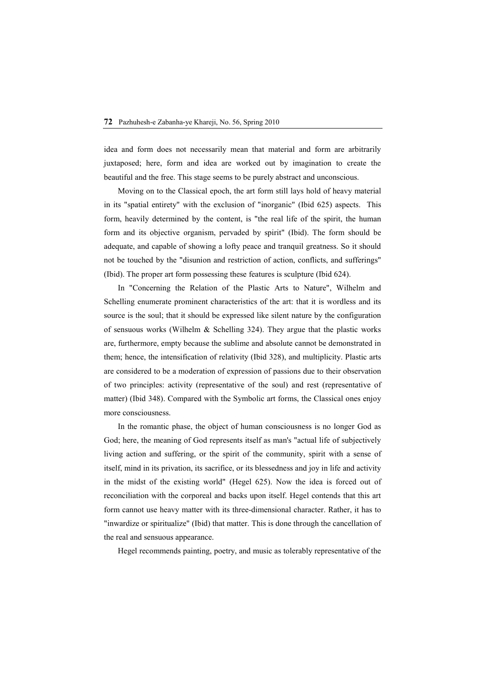idea and form does not necessarily mean that material and form are arbitrarily juxtaposed; here, form and idea are worked out by imagination to create the beautiful and the free. This stage seems to be purely abstract and unconscious.

Moving on to the Classical epoch, the art form still lays hold of heavy material in its "spatial entirety" with the exclusion of "inorganic" (Ibid 625) aspects. This form, heavily determined by the content, is "the real life of the spirit, the human form and its objective organism, pervaded by spirit" (Ibid). The form should be adequate, and capable of showing a lofty peace and tranquil greatness. So it should not be touched by the "disunion and restriction of action, conflicts, and sufferings" (Ibid). The proper art form possessing these features is sculpture (Ibid 624).

In "Concerning the Relation of the Plastic Arts to Nature", Wilhelm and Schelling enumerate prominent characteristics of the art: that it is wordless and its source is the soul; that it should be expressed like silent nature by the configuration of sensuous works (Wilhelm & Schelling 324). They argue that the plastic works are, furthermore, empty because the sublime and absolute cannot be demonstrated in them; hence, the intensification of relativity (Ibid 328), and multiplicity. Plastic arts are considered to be a moderation of expression of passions due to their observation of two principles: activity (representative of the soul) and rest (representative of matter) (Ibid 348). Compared with the Symbolic art forms, the Classical ones enjoy more consciousness.

In the romantic phase, the object of human consciousness is no longer God as God; here, the meaning of God represents itself as man's "actual life of subjectively living action and suffering, or the spirit of the community, spirit with a sense of itself, mind in its privation, its sacrifice, or its blessedness and joy in life and activity in the midst of the existing world" (Hegel 625). Now the idea is forced out of reconciliation with the corporeal and backs upon itself. Hegel contends that this art form cannot use heavy matter with its three-dimensional character. Rather, it has to "inwardize or spiritualize" (Ibid) that matter. This is done through the cancellation of the real and sensuous appearance.

Hegel recommends painting, poetry, and music as tolerably representative of the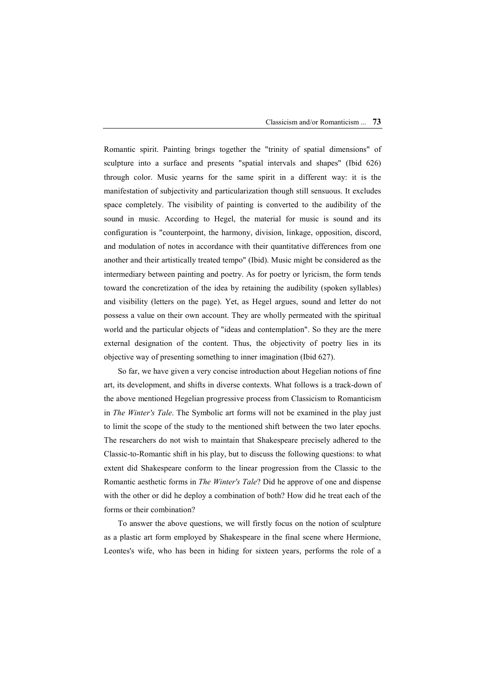Romantic spirit. Painting brings together the "trinity of spatial dimensions" of sculpture into a surface and presents "spatial intervals and shapes" (Ibid 626) through color. Music yearns for the same spirit in a different way: it is the manifestation of subjectivity and particularization though still sensuous. It excludes space completely. The visibility of painting is converted to the audibility of the sound in music. According to Hegel, the material for music is sound and its configuration is "counterpoint, the harmony, division, linkage, opposition, discord, and modulation of notes in accordance with their quantitative differences from one another and their artistically treated tempo" (Ibid). Music might be considered as the intermediary between painting and poetry. As for poetry or lyricism, the form tends toward the concretization of the idea by retaining the audibility (spoken syllables) and visibility (letters on the page). Yet, as Hegel argues, sound and letter do not possess a value on their own account. They are wholly permeated with the spiritual world and the particular objects of "ideas and contemplation". So they are the mere external designation of the content. Thus, the objectivity of poetry lies in its objective way of presenting something to inner imagination (Ibid 627).

So far, we have given a very concise introduction about Hegelian notions of fine art, its development, and shifts in diverse contexts. What follows is a track-down of the above mentioned Hegelian progressive process from Classicism to Romanticism in *The Winter's Tale*. The Symbolic art forms will not be examined in the play just to limit the scope of the study to the mentioned shift between the two later epochs. The researchers do not wish to maintain that Shakespeare precisely adhered to the Classic-to-Romantic shift in his play, but to discuss the following questions: to what extent did Shakespeare conform to the linear progression from the Classic to the Romantic aesthetic forms in *The Winter's Tale*? Did he approve of one and dispense with the other or did he deploy a combination of both? How did he treat each of the forms or their combination?

To answer the above questions, we will firstly focus on the notion of sculpture as a plastic art form employed by Shakespeare in the final scene where Hermione, Leontes's wife, who has been in hiding for sixteen years, performs the role of a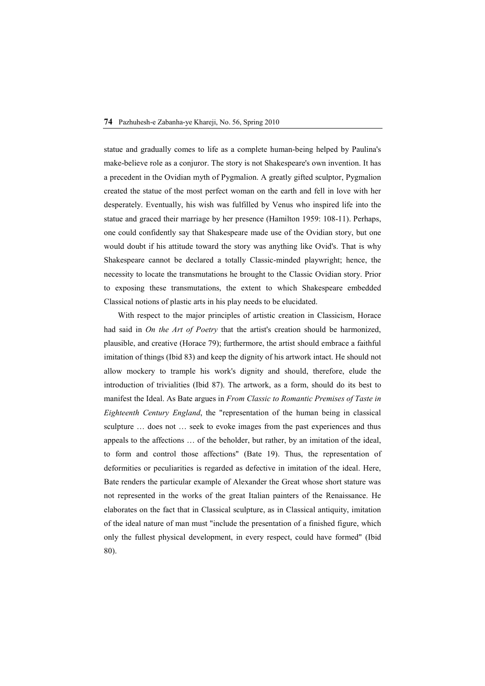statue and gradually comes to life as a complete human-being helped by Paulina's make-believe role as a conjuror. The story is not Shakespeare's own invention. It has a precedent in the Ovidian myth of Pygmalion. A greatly gifted sculptor, Pygmalion created the statue of the most perfect woman on the earth and fell in love with her desperately. Eventually, his wish was fulfilled by Venus who inspired life into the statue and graced their marriage by her presence (Hamilton 1959: 108-11). Perhaps, one could confidently say that Shakespeare made use of the Ovidian story, but one would doubt if his attitude toward the story was anything like Ovid's. That is why Shakespeare cannot be declared a totally Classic-minded playwright; hence, the necessity to locate the transmutations he brought to the Classic Ovidian story. Prior to exposing these transmutations, the extent to which Shakespeare embedded Classical notions of plastic arts in his play needs to be elucidated.

With respect to the major principles of artistic creation in Classicism, Horace had said in *On the Art of Poetry* that the artist's creation should be harmonized, plausible, and creative (Horace 79); furthermore, the artist should embrace a faithful imitation of things (Ibid 83) and keep the dignity of his artwork intact. He should not allow mockery to trample his work's dignity and should, therefore, elude the introduction of trivialities (Ibid 87). The artwork, as a form, should do its best to manifest the Ideal. As Bate argues in *From Classic to Romantic Premises of Taste in Eighteenth Century England*, the "representation of the human being in classical sculpture … does not … seek to evoke images from the past experiences and thus appeals to the affections … of the beholder, but rather, by an imitation of the ideal, to form and control those affections" (Bate 19). Thus, the representation of deformities or peculiarities is regarded as defective in imitation of the ideal. Here, Bate renders the particular example of Alexander the Great whose short stature was not represented in the works of the great Italian painters of the Renaissance. He elaborates on the fact that in Classical sculpture, as in Classical antiquity, imitation of the ideal nature of man must "include the presentation of a finished figure, which only the fullest physical development, in every respect, could have formed" (Ibid 80).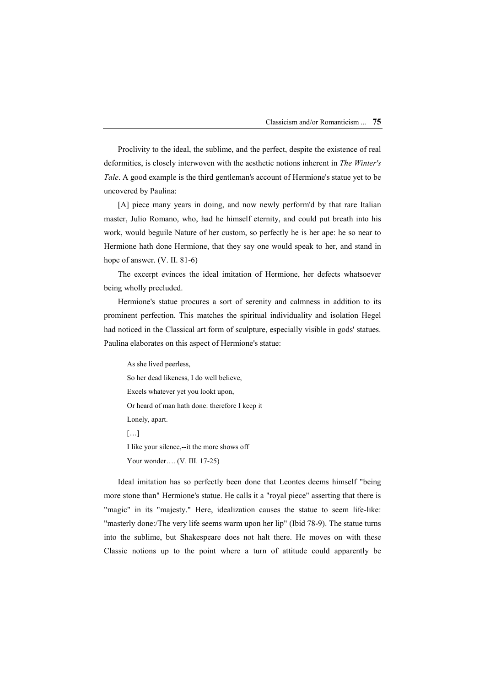Proclivity to the ideal, the sublime, and the perfect, despite the existence of real deformities, is closely interwoven with the aesthetic notions inherent in *The Winter's Tale*. A good example is the third gentleman's account of Hermione's statue yet to be uncovered by Paulina:

[A] piece many years in doing, and now newly perform'd by that rare Italian master, Julio Romano, who, had he himself eternity, and could put breath into his work, would beguile Nature of her custom, so perfectly he is her ape: he so near to Hermione hath done Hermione, that they say one would speak to her, and stand in hope of answer. (V. II. 81-6)

The excerpt evinces the ideal imitation of Hermione, her defects whatsoever being wholly precluded.

Hermione's statue procures a sort of serenity and calmness in addition to its prominent perfection. This matches the spiritual individuality and isolation Hegel had noticed in the Classical art form of sculpture, especially visible in gods' statues. Paulina elaborates on this aspect of Hermione's statue:

As she lived peerless, So her dead likeness, I do well believe, Excels whatever yet you lookt upon, Or heard of man hath done: therefore I keep it Lonely, apart.  $[\dots]$ I like your silence,--it the more shows off Your wonder…. (V. III. 17-25)

Ideal imitation has so perfectly been done that Leontes deems himself "being more stone than" Hermione's statue. He calls it a "royal piece" asserting that there is "magic" in its "majesty." Here, idealization causes the statue to seem life-like: "masterly done:/The very life seems warm upon her lip" (Ibid 78-9). The statue turns into the sublime, but Shakespeare does not halt there. He moves on with these Classic notions up to the point where a turn of attitude could apparently be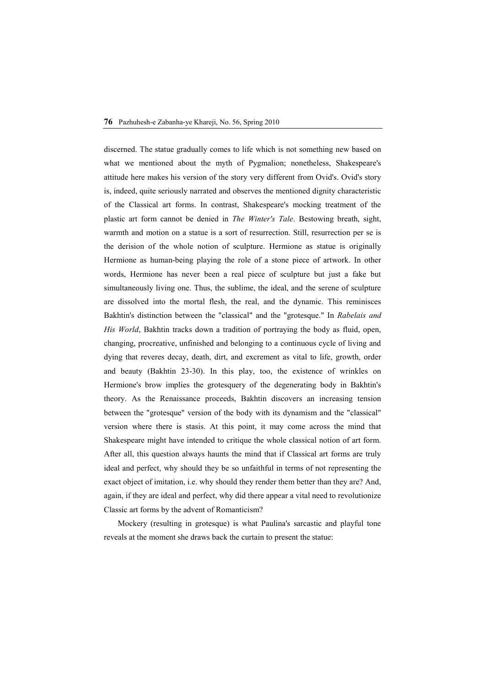discerned. The statue gradually comes to life which is not something new based on what we mentioned about the myth of Pygmalion; nonetheless, Shakespeare's attitude here makes his version of the story very different from Ovid's. Ovid's story is, indeed, quite seriously narrated and observes the mentioned dignity characteristic of the Classical art forms. In contrast, Shakespeare's mocking treatment of the plastic art form cannot be denied in *The Winter's Tale*. Bestowing breath, sight, warmth and motion on a statue is a sort of resurrection. Still, resurrection per se is the derision of the whole notion of sculpture. Hermione as statue is originally Hermione as human-being playing the role of a stone piece of artwork. In other words, Hermione has never been a real piece of sculpture but just a fake but simultaneously living one. Thus, the sublime, the ideal, and the serene of sculpture are dissolved into the mortal flesh, the real, and the dynamic. This reminisces Bakhtin's distinction between the "classical" and the "grotesque." In *Rabelais and His World*, Bakhtin tracks down a tradition of portraying the body as fluid, open, changing, procreative, unfinished and belonging to a continuous cycle of living and dying that reveres decay, death, dirt, and excrement as vital to life, growth, order and beauty (Bakhtin 23-30). In this play, too, the existence of wrinkles on Hermione's brow implies the grotesquery of the degenerating body in Bakhtin's theory. As the Renaissance proceeds, Bakhtin discovers an increasing tension between the "grotesque" version of the body with its dynamism and the "classical" version where there is stasis. At this point, it may come across the mind that Shakespeare might have intended to critique the whole classical notion of art form. After all, this question always haunts the mind that if Classical art forms are truly ideal and perfect, why should they be so unfaithful in terms of not representing the exact object of imitation, i.e. why should they render them better than they are? And, again, if they are ideal and perfect, why did there appear a vital need to revolutionize Classic art forms by the advent of Romanticism?

Mockery (resulting in grotesque) is what Paulina's sarcastic and playful tone reveals at the moment she draws back the curtain to present the statue: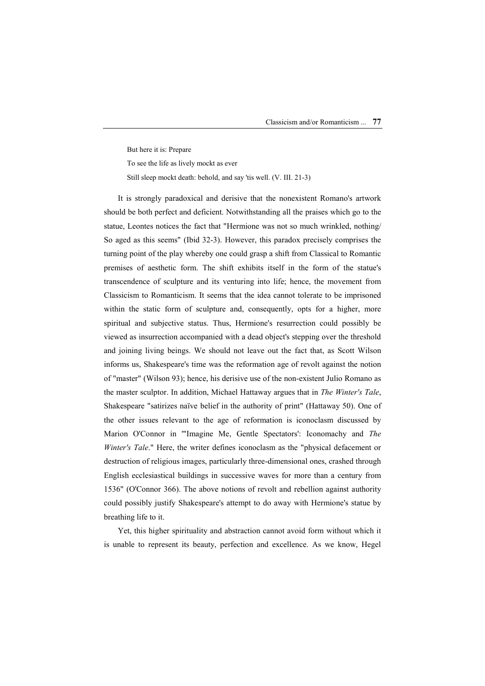But here it is: Prepare To see the life as lively mockt as ever Still sleep mockt death: behold, and say 'tis well. (V. III. 21-3)

It is strongly paradoxical and derisive that the nonexistent Romano's artwork should be both perfect and deficient. Notwithstanding all the praises which go to the statue, Leontes notices the fact that "Hermione was not so much wrinkled, nothing/ So aged as this seems" (Ibid 32-3). However, this paradox precisely comprises the turning point of the play whereby one could grasp a shift from Classical to Romantic premises of aesthetic form. The shift exhibits itself in the form of the statue's transcendence of sculpture and its venturing into life; hence, the movement from Classicism to Romanticism. It seems that the idea cannot tolerate to be imprisoned within the static form of sculpture and, consequently, opts for a higher, more spiritual and subjective status. Thus, Hermione's resurrection could possibly be viewed as insurrection accompanied with a dead object's stepping over the threshold and joining living beings. We should not leave out the fact that, as Scott Wilson informs us, Shakespeare's time was the reformation age of revolt against the notion of "master" (Wilson 93); hence, his derisive use of the non-existent Julio Romano as the master sculptor. In addition, Michael Hattaway argues that in *The Winter's Tale*, Shakespeare "satirizes naïve belief in the authority of print" (Hattaway 50). One of the other issues relevant to the age of reformation is iconoclasm discussed by Marion O'Connor in '"Imagine Me, Gentle Spectators': Iconomachy and *The Winter's Tale*." Here, the writer defines iconoclasm as the "physical defacement or destruction of religious images, particularly three-dimensional ones, crashed through English ecclesiastical buildings in successive waves for more than a century from 1536" (O'Connor 366). The above notions of revolt and rebellion against authority could possibly justify Shakespeare's attempt to do away with Hermione's statue by breathing life to it.

Yet, this higher spirituality and abstraction cannot avoid form without which it is unable to represent its beauty, perfection and excellence. As we know, Hegel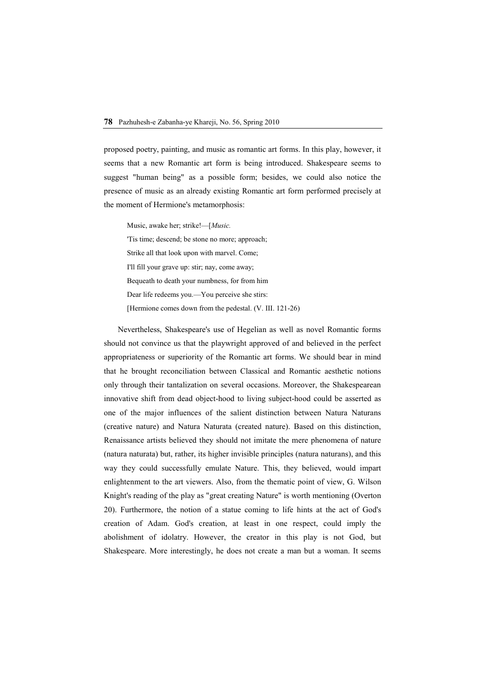proposed poetry, painting, and music as romantic art forms. In this play, however, it seems that a new Romantic art form is being introduced. Shakespeare seems to suggest "human being" as a possible form; besides, we could also notice the presence of music as an already existing Romantic art form performed precisely at the moment of Hermione's metamorphosis:

Music, awake her; strike!—[*Music.*

'Tis time; descend; be stone no more; approach; Strike all that look upon with marvel. Come; I'll fill your grave up: stir; nay, come away; Bequeath to death your numbness, for from him Dear life redeems you.—You perceive she stirs: [Hermione comes down from the pedestal. (V. III. 121-26)

Nevertheless, Shakespeare's use of Hegelian as well as novel Romantic forms should not convince us that the playwright approved of and believed in the perfect appropriateness or superiority of the Romantic art forms. We should bear in mind that he brought reconciliation between Classical and Romantic aesthetic notions only through their tantalization on several occasions. Moreover, the Shakespearean innovative shift from dead object-hood to living subject-hood could be asserted as one of the major influences of the salient distinction between Natura Naturans (creative nature) and Natura Naturata (created nature). Based on this distinction, Renaissance artists believed they should not imitate the mere phenomena of nature (natura naturata) but, rather, its higher invisible principles (natura naturans), and this way they could successfully emulate Nature. This, they believed, would impart enlightenment to the art viewers. Also, from the thematic point of view, G. Wilson Knight's reading of the play as "great creating Nature" is worth mentioning (Overton 20). Furthermore, the notion of a statue coming to life hints at the act of God's creation of Adam. God's creation, at least in one respect, could imply the abolishment of idolatry. However, the creator in this play is not God, but Shakespeare. More interestingly, he does not create a man but a woman. It seems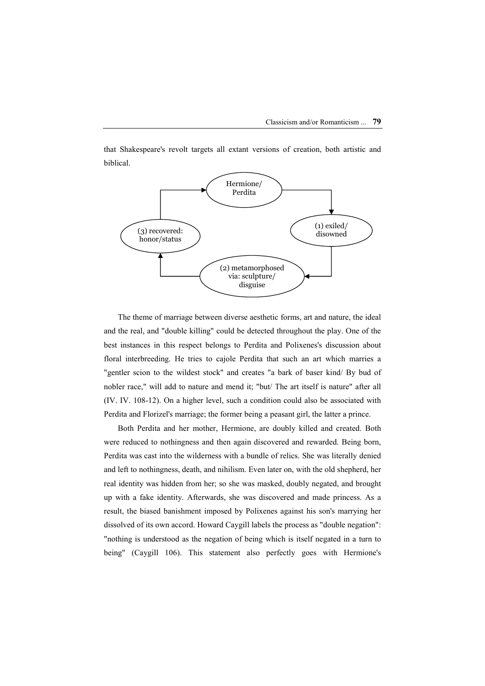that Shakespeare's revolt targets all extant versions of creation, both artistic and biblical.



The theme of marriage between diverse aesthetic forms, art and nature, the ideal and the real, and "double killing" could be detected throughout the play. One of the best instances in this respect belongs to Perdita and Polixenes's discussion about floral interbreeding. He tries to cajole Perdita that such an art which marries a "gentler scion to the wildest stock" and creates "a bark of baser kind/ By bud of nobler race," will add to nature and mend it; "but/ The art itself is nature" after all (IV. IV. 108-12). On a higher level, such a condition could also be associated with Perdita and Florizel's marriage; the former being a peasant girl, the latter a prince.

Both Perdita and her mother, Hermione, are doubly killed and created. Both were reduced to nothingness and then again discovered and rewarded. Being born, Perdita was cast into the wilderness with a bundle of relics. She was literally denied and left to nothingness, death, and nihilism. Even later on, with the old shepherd, her real identity was hidden from her; so she was masked, doubly negated, and brought up with a fake identity. Afterwards, she was discovered and made princess. As a result, the biased banishment imposed by Polixenes against his son's marrying her dissolved of its own accord. Howard Caygill labels the process as "double negation": "nothing is understood as the negation of being which is itself negated in a turn to being" (Caygill 106). This statement also perfectly goes with Hermione's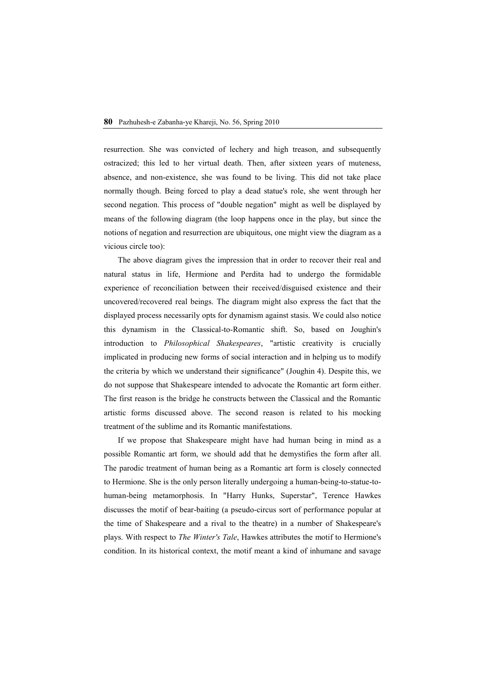resurrection. She was convicted of lechery and high treason, and subsequently ostracized; this led to her virtual death. Then, after sixteen years of muteness, absence, and non-existence, she was found to be living. This did not take place normally though. Being forced to play a dead statue's role, she went through her second negation. This process of "double negation" might as well be displayed by means of the following diagram (the loop happens once in the play, but since the notions of negation and resurrection are ubiquitous, one might view the diagram as a vicious circle too):

The above diagram gives the impression that in order to recover their real and natural status in life, Hermione and Perdita had to undergo the formidable experience of reconciliation between their received/disguised existence and their uncovered/recovered real beings. The diagram might also express the fact that the displayed process necessarily opts for dynamism against stasis. We could also notice this dynamism in the Classical-to-Romantic shift. So, based on Joughin's introduction to *Philosophical Shakespeares*, "artistic creativity is crucially implicated in producing new forms of social interaction and in helping us to modify the criteria by which we understand their significance" (Joughin 4). Despite this, we do not suppose that Shakespeare intended to advocate the Romantic art form either. The first reason is the bridge he constructs between the Classical and the Romantic artistic forms discussed above. The second reason is related to his mocking treatment of the sublime and its Romantic manifestations.

If we propose that Shakespeare might have had human being in mind as a possible Romantic art form, we should add that he demystifies the form after all. The parodic treatment of human being as a Romantic art form is closely connected to Hermione. She is the only person literally undergoing a human-being-to-statue-tohuman-being metamorphosis. In "Harry Hunks, Superstar", Terence Hawkes discusses the motif of bear-baiting (a pseudo-circus sort of performance popular at the time of Shakespeare and a rival to the theatre) in a number of Shakespeare's plays. With respect to *The Winter's Tale*, Hawkes attributes the motif to Hermione's condition. In its historical context, the motif meant a kind of inhumane and savage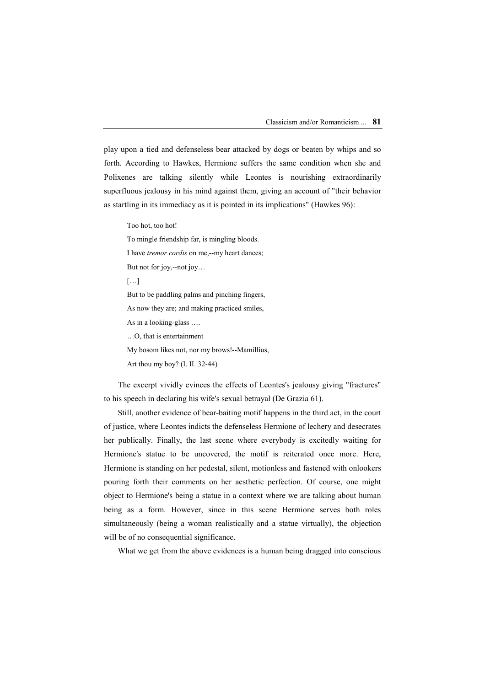play upon a tied and defenseless bear attacked by dogs or beaten by whips and so forth. According to Hawkes, Hermione suffers the same condition when she and Polixenes are talking silently while Leontes is nourishing extraordinarily superfluous jealousy in his mind against them, giving an account of "their behavior as startling in its immediacy as it is pointed in its implications" (Hawkes 96):

Too hot, too hot!

To mingle friendship far, is mingling bloods.

I have *tremor cordis* on me,--my heart dances;

But not for joy,--not joy…

[…]

But to be paddling palms and pinching fingers,

As now they are; and making practiced smiles,

As in a looking-glass ….

…O, that is entertainment

My bosom likes not, nor my brows!--Mamillius,

Art thou my boy? (I. II. 32-44)

The excerpt vividly evinces the effects of Leontes's jealousy giving "fractures" to his speech in declaring his wife's sexual betrayal (De Grazia 61).

Still, another evidence of bear-baiting motif happens in the third act, in the court of justice, where Leontes indicts the defenseless Hermione of lechery and desecrates her publically. Finally, the last scene where everybody is excitedly waiting for Hermione's statue to be uncovered, the motif is reiterated once more. Here, Hermione is standing on her pedestal, silent, motionless and fastened with onlookers pouring forth their comments on her aesthetic perfection. Of course, one might object to Hermione's being a statue in a context where we are talking about human being as a form. However, since in this scene Hermione serves both roles simultaneously (being a woman realistically and a statue virtually), the objection will be of no consequential significance.

What we get from the above evidences is a human being dragged into conscious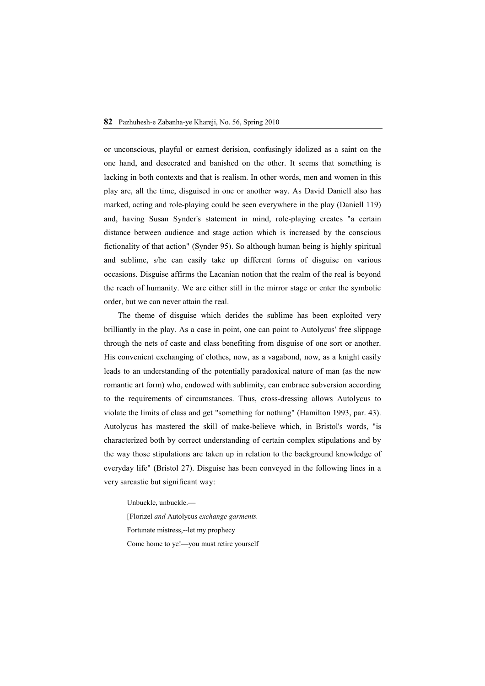or unconscious, playful or earnest derision, confusingly idolized as a saint on the one hand, and desecrated and banished on the other. It seems that something is lacking in both contexts and that is realism. In other words, men and women in this play are, all the time, disguised in one or another way. As David Daniell also has marked, acting and role-playing could be seen everywhere in the play (Daniell 119) and, having Susan Synder's statement in mind, role-playing creates "a certain distance between audience and stage action which is increased by the conscious fictionality of that action" (Synder 95). So although human being is highly spiritual and sublime, s/he can easily take up different forms of disguise on various occasions. Disguise affirms the Lacanian notion that the realm of the real is beyond the reach of humanity. We are either still in the mirror stage or enter the symbolic order, but we can never attain the real.

The theme of disguise which derides the sublime has been exploited very brilliantly in the play. As a case in point, one can point to Autolycus' free slippage through the nets of caste and class benefiting from disguise of one sort or another. His convenient exchanging of clothes, now, as a vagabond, now, as a knight easily leads to an understanding of the potentially paradoxical nature of man (as the new romantic art form) who, endowed with sublimity, can embrace subversion according to the requirements of circumstances. Thus, cross-dressing allows Autolycus to violate the limits of class and get "something for nothing" (Hamilton 1993, par. 43). Autolycus has mastered the skill of make-believe which, in Bristol's words, "is characterized both by correct understanding of certain complex stipulations and by the way those stipulations are taken up in relation to the background knowledge of everyday life" (Bristol 27). Disguise has been conveyed in the following lines in a very sarcastic but significant way:

Unbuckle, unbuckle.— [Florizel *and* Autolycus *exchange garments.* Fortunate mistress,--let my prophecy Come home to ye!—you must retire yourself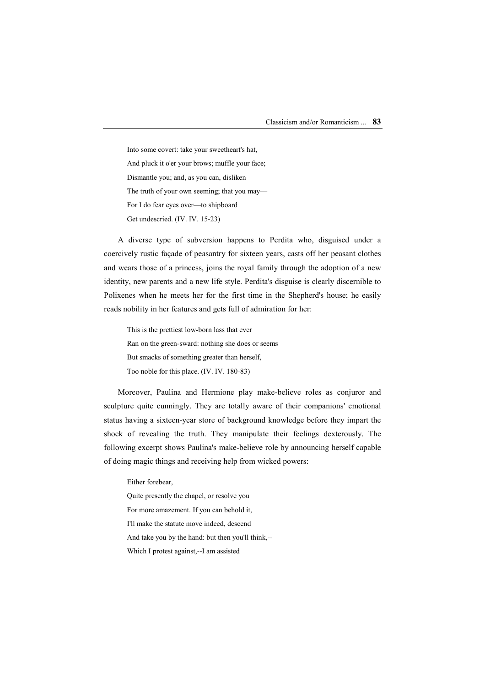Into some covert: take your sweetheart's hat, And pluck it o'er your brows; muffle your face; Dismantle you; and, as you can, disliken The truth of your own seeming; that you may— For I do fear eyes over—to shipboard Get undescried. (IV. IV. 15-23)

A diverse type of subversion happens to Perdita who, disguised under a coercively rustic façade of peasantry for sixteen years, casts off her peasant clothes and wears those of a princess, joins the royal family through the adoption of a new identity, new parents and a new life style. Perdita's disguise is clearly discernible to Polixenes when he meets her for the first time in the Shepherd's house; he easily reads nobility in her features and gets full of admiration for her:

This is the prettiest low-born lass that ever Ran on the green-sward: nothing she does or seems But smacks of something greater than herself, Too noble for this place. (IV. IV. 180-83)

Moreover, Paulina and Hermione play make-believe roles as conjuror and sculpture quite cunningly. They are totally aware of their companions' emotional status having a sixteen-year store of background knowledge before they impart the shock of revealing the truth. They manipulate their feelings dexterously. The following excerpt shows Paulina's make-believe role by announcing herself capable of doing magic things and receiving help from wicked powers:

Either forebear,

Quite presently the chapel, or resolve you

For more amazement. If you can behold it,

I'll make the statute move indeed, descend

And take you by the hand: but then you'll think,--

Which I protest against,--I am assisted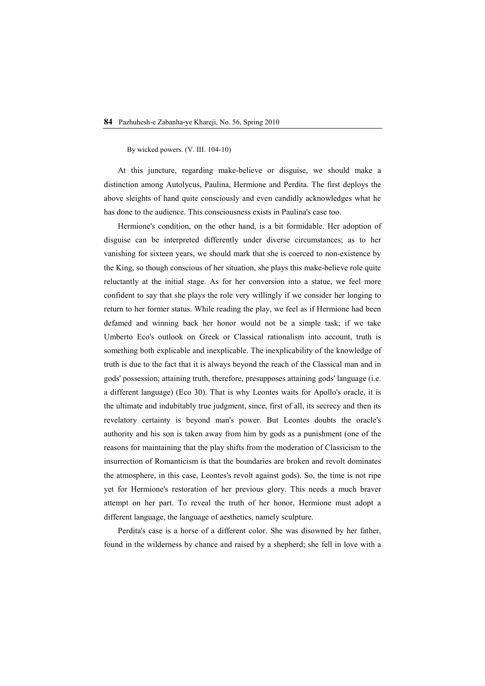By wicked powers. (V. III. 104-10)

At this juncture, regarding make-believe or disguise, we should make a distinction among Autolycus, Paulina, Hermione and Perdita. The first deploys the above sleights of hand quite consciously and even candidly acknowledges what he has done to the audience. This consciousness exists in Paulina's case too.

Hermione's condition, on the other hand, is a bit formidable. Her adoption of disguise can be interpreted differently under diverse circumstances; as to her vanishing for sixteen years, we should mark that she is coerced to non-existence by the King, so though conscious of her situation, she plays this make-believe role quite reluctantly at the initial stage. As for her conversion into a statue, we feel more confident to say that she plays the role very willingly if we consider her longing to return to her former status. While reading the play, we feel as if Hermione had been defamed and winning back her honor would not be a simple task; if we take Umberto Eco's outlook on Greek or Classical rationalism into account, truth is something both explicable and inexplicable. The inexplicability of the knowledge of truth is due to the fact that it is always beyond the reach of the Classical man and in gods' possession; attaining truth, therefore, presupposes attaining gods' language (i.e. a different language) (Eco 30). That is why Leontes waits for Apollo's oracle, it is the ultimate and indubitably true judgment, since, first of all, its secrecy and then its revelatory certainty is beyond man's power. But Leontes doubts the oracle's authority and his son is taken away from him by gods as a punishment (one of the reasons for maintaining that the play shifts from the moderation of Classicism to the insurrection of Romanticism is that the boundaries are broken and revolt dominates the atmosphere, in this case, Leontes's revolt against gods). So, the time is not ripe yet for Hermione's restoration of her previous glory. This needs a much braver attempt on her part. To reveal the truth of her honor, Hermione must adopt a different language, the language of aesthetics, namely sculpture.

Perdita's case is a horse of a different color. She was disowned by her father, found in the wilderness by chance and raised by a shepherd; she fell in love with a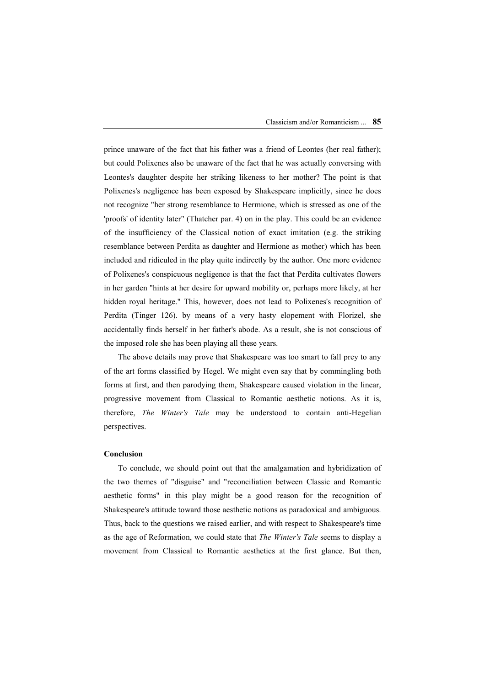prince unaware of the fact that his father was a friend of Leontes (her real father); but could Polixenes also be unaware of the fact that he was actually conversing with Leontes's daughter despite her striking likeness to her mother? The point is that Polixenes's negligence has been exposed by Shakespeare implicitly, since he does not recognize "her strong resemblance to Hermione, which is stressed as one of the 'proofs' of identity later" (Thatcher par. 4) on in the play. This could be an evidence of the insufficiency of the Classical notion of exact imitation (e.g. the striking resemblance between Perdita as daughter and Hermione as mother) which has been included and ridiculed in the play quite indirectly by the author. One more evidence of Polixenes's conspicuous negligence is that the fact that Perdita cultivates flowers in her garden "hints at her desire for upward mobility or, perhaps more likely, at her hidden royal heritage." This, however, does not lead to Polixenes's recognition of Perdita (Tinger 126). by means of a very hasty elopement with Florizel, she accidentally finds herself in her father's abode. As a result, she is not conscious of the imposed role she has been playing all these years.

The above details may prove that Shakespeare was too smart to fall prey to any of the art forms classified by Hegel. We might even say that by commingling both forms at first, and then parodying them, Shakespeare caused violation in the linear, progressive movement from Classical to Romantic aesthetic notions. As it is, therefore, *The Winter's Tale* may be understood to contain anti-Hegelian perspectives.

#### **Conclusion**

To conclude, we should point out that the amalgamation and hybridization of the two themes of "disguise" and "reconciliation between Classic and Romantic aesthetic forms" in this play might be a good reason for the recognition of Shakespeare's attitude toward those aesthetic notions as paradoxical and ambiguous. Thus, back to the questions we raised earlier, and with respect to Shakespeare's time as the age of Reformation, we could state that *The Winter's Tale* seems to display a movement from Classical to Romantic aesthetics at the first glance. But then,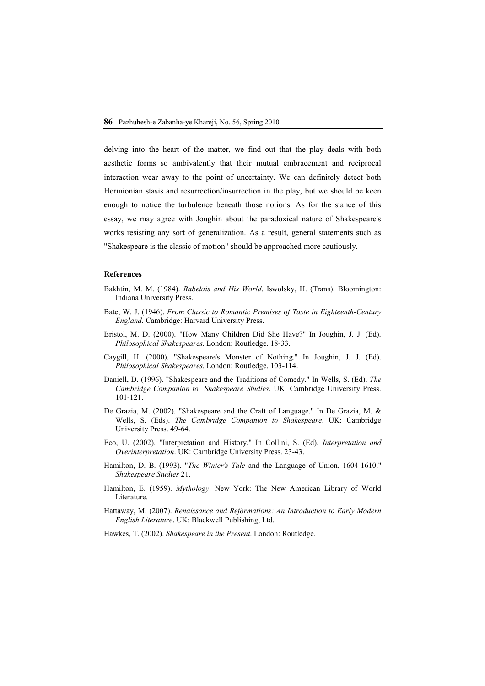delving into the heart of the matter, we find out that the play deals with both aesthetic forms so ambivalently that their mutual embracement and reciprocal interaction wear away to the point of uncertainty. We can definitely detect both Hermionian stasis and resurrection/insurrection in the play, but we should be keen enough to notice the turbulence beneath those notions. As for the stance of this essay, we may agree with Joughin about the paradoxical nature of Shakespeare's works resisting any sort of generalization. As a result, general statements such as "Shakespeare is the classic of motion" should be approached more cautiously.

### **References**

- Bakhtin, M. M. (1984). *Rabelais and His World*. Iswolsky, H. (Trans). Bloomington: Indiana University Press.
- Bate, W. J. (1946). *From Classic to Romantic Premises of Taste in Eighteenth-Century England*. Cambridge: Harvard University Press.
- Bristol, M. D. (2000). "How Many Children Did She Have?" In Joughin, J. J. (Ed). *Philosophical Shakespeares*. London: Routledge. 18-33.
- Caygill, H. (2000). "Shakespeare's Monster of Nothing." In Joughin, J. J. (Ed). *Philosophical Shakespeares*. London: Routledge. 103-114.
- Daniell, D. (1996). "Shakespeare and the Traditions of Comedy." In Wells, S. (Ed). *The Cambridge Companion to Shakespeare Studies*. UK: Cambridge University Press. 101-121.
- De Grazia, M. (2002). "Shakespeare and the Craft of Language." In De Grazia, M. & Wells, S. (Eds). *The Cambridge Companion to Shakespeare*. UK: Cambridge University Press. 49-64.
- Eco, U. (2002). "Interpretation and History." In Collini, S. (Ed). *Interpretation and Overinterpretation*. UK: Cambridge University Press. 23-43.
- Hamilton, D. B. (1993). "*The Winter's Tale* and the Language of Union, 1604-1610." *Shakespeare Studies* 21.
- Hamilton, E. (1959). *Mythology*. New York: The New American Library of World Literature.
- Hattaway, M. (2007). *Renaissance and Reformations: An Introduction to Early Modern English Literature*. UK: Blackwell Publishing, Ltd.
- Hawkes, T. (2002). *Shakespeare in the Present*. London: Routledge.